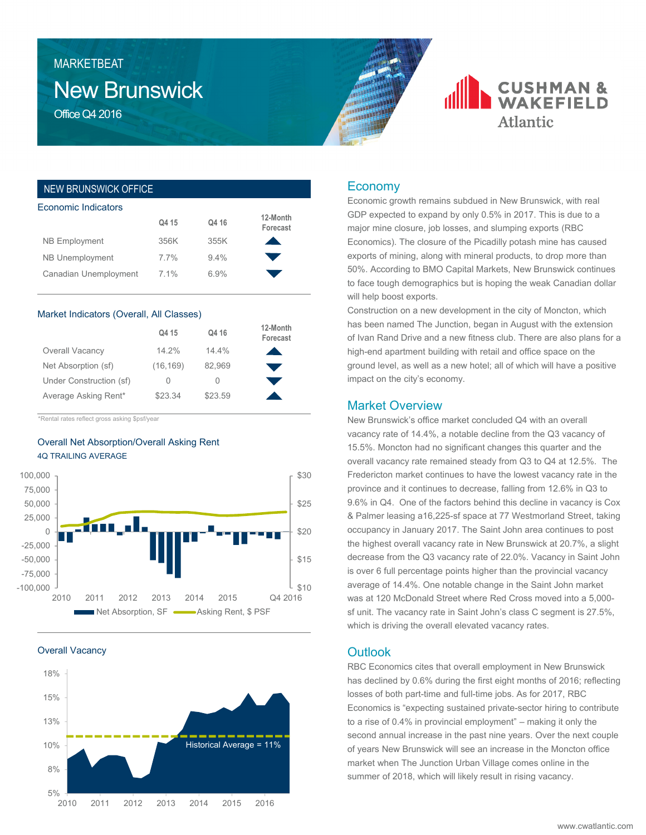# New Brunswick **MARKETBEAT**

Office Q4 2016

## NEW BRUNSWICK OFFICE

| Economic Indicators    |       |         |                      |  |  |  |  |
|------------------------|-------|---------|----------------------|--|--|--|--|
|                        | Q4 15 | Q4 16   | 12-Month<br>Forecast |  |  |  |  |
| <b>NB Employment</b>   | 356K  | 355K    |                      |  |  |  |  |
| <b>NB Unemployment</b> | 7.7%  | $9.4\%$ |                      |  |  |  |  |
| Canadian Unemployment  | 7.1%  | 6.9%    |                      |  |  |  |  |
|                        |       |         |                      |  |  |  |  |

#### Market Indicators (Overall, All Classes)

|                         | Q4 15     | Q4 16   | 12-Month<br>Forecast |
|-------------------------|-----------|---------|----------------------|
| Overall Vacancy         | 14.2%     | 14.4%   |                      |
| Net Absorption (sf)     | (16, 169) | 82.969  |                      |
| Under Construction (sf) | $\bigcap$ | $\cup$  |                      |
| Average Asking Rent*    | \$23.34   | \$23.59 |                      |

\*Rental rates reflect gross asking \$psf/year

## Overall Net Absorption/Overall Asking Rent 4Q TRAILING AVERAGE



Overall Vacancy



## Economy

Economic growth remains subdued in New Brunswick, with real GDP expected to expand by only 0.5% in 2017. This is due to a major mine closure, job losses, and slumping exports (RBC Economics). The closure of the Picadilly potash mine has caused exports of mining, along with mineral products, to drop more than 50%. According to BMO Capital Markets, New Brunswick continues to face tough demographics but is hoping the weak Canadian dollar will help boost exports.

**CUSHMAN &**<br>WAKEFIELD

**Atlantic** 

Construction on a new development in the city of Moncton, which has been named The Junction, began in August with the extension of Ivan Rand Drive and a new fitness club. There are also plans for a high-end apartment building with retail and office space on the ground level, as well as a new hotel; all of which will have a positive impact on the city's economy.

#### Market Overview

New Brunswick's office market concluded Q4 with an overall vacancy rate of 14.4%, a notable decline from the Q3 vacancy of 15.5%. Moncton had no significant changes this quarter and the overall vacancy rate remained steady from Q3 to Q4 at 12.5%. The Fredericton market continues to have the lowest vacancy rate in the province and it continues to decrease, falling from 12.6% in Q3 to 9.6% in Q4. One of the factors behind this decline in vacancy is Cox & Palmer leasing a16,225-sf space at 77 Westmorland Street, taking occupancy in January 2017. The Saint John area continues to post the highest overall vacancy rate in New Brunswick at 20.7%, a slight decrease from the Q3 vacancy rate of 22.0%. Vacancy in Saint John is over 6 full percentage points higher than the provincial vacancy average of 14.4%. One notable change in the Saint John market was at 120 McDonald Street where Red Cross moved into a 5,000 sf unit. The vacancy rate in Saint John's class C segment is 27.5%, which is driving the overall elevated vacancy rates.

## **Outlook**

RBC Economics cites that overall employment in New Brunswick has declined by 0.6% during the first eight months of 2016; reflecting losses of both part-time and full-time jobs. As for 2017, RBC Economics is "expecting sustained private-sector hiring to contribute to a rise of 0.4% in provincial employment" – making it only the second annual increase in the past nine years. Over the next couple of years New Brunswick will see an increase in the Moncton office market when The Junction Urban Village comes online in the summer of 2018, which will likely result in rising vacancy.